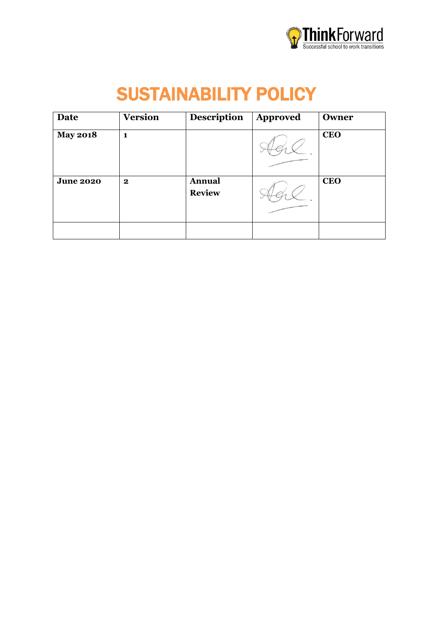

# SUSTAINABILITY POLICY

| Date             | <b>Version</b> | <b>Description</b> | <b>Approved</b> | Owner      |
|------------------|----------------|--------------------|-----------------|------------|
| <b>May 2018</b>  | 1              |                    |                 | <b>CEO</b> |
| <b>June 2020</b> | $\mathbf 2$    | <b>Annual</b>      |                 | <b>CEO</b> |
|                  |                | <b>Review</b>      |                 |            |
|                  |                |                    |                 |            |
|                  |                |                    |                 |            |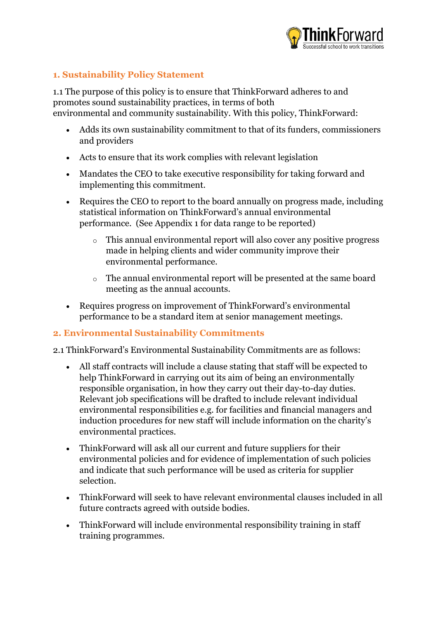

## **1. Sustainability Policy Statement**

1.1 The purpose of this policy is to ensure that ThinkForward adheres to and promotes sound sustainability practices, in terms of both environmental and community sustainability. With this policy, ThinkForward:

- Adds its own sustainability commitment to that of its funders, commissioners and providers
- Acts to ensure that its work complies with relevant legislation
- Mandates the CEO to take executive responsibility for taking forward and implementing this commitment.
- Requires the CEO to report to the board annually on progress made, including statistical information on ThinkForward's annual environmental performance. (See Appendix 1 for data range to be reported)
	- o This annual environmental report will also cover any positive progress made in helping clients and wider community improve their environmental performance.
	- o The annual environmental report will be presented at the same board meeting as the annual accounts.
- Requires progress on improvement of ThinkForward's environmental performance to be a standard item at senior management meetings.

#### **2. Environmental Sustainability Commitments**

- 2.1 ThinkForward's Environmental Sustainability Commitments are as follows:
	- All staff contracts will include a clause stating that staff will be expected to help ThinkForward in carrying out its aim of being an environmentally responsible organisation, in how they carry out their day-to-day duties. Relevant job specifications will be drafted to include relevant individual environmental responsibilities e.g. for facilities and financial managers and induction procedures for new staff will include information on the charity's environmental practices.
	- ThinkForward will ask all our current and future suppliers for their environmental policies and for evidence of implementation of such policies and indicate that such performance will be used as criteria for supplier selection.
	- ThinkForward will seek to have relevant environmental clauses included in all future contracts agreed with outside bodies.
	- ThinkForward will include environmental responsibility training in staff training programmes.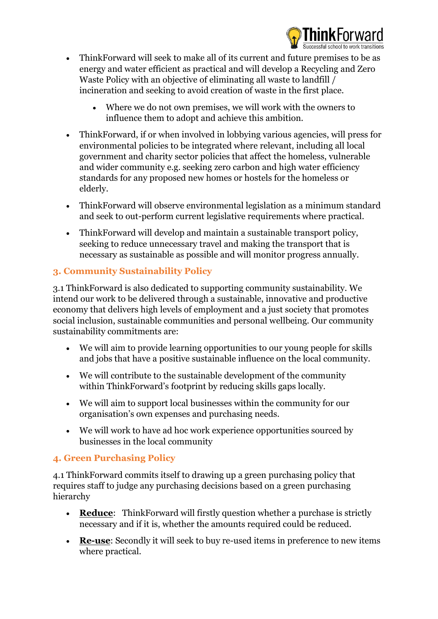

- ThinkForward will seek to make all of its current and future premises to be as energy and water efficient as practical and will develop a Recycling and Zero Waste Policy with an objective of eliminating all waste to landfill / incineration and seeking to avoid creation of waste in the first place.
	- Where we do not own premises, we will work with the owners to influence them to adopt and achieve this ambition.
- ThinkForward, if or when involved in lobbying various agencies, will press for environmental policies to be integrated where relevant, including all local government and charity sector policies that affect the homeless, vulnerable and wider community e.g. seeking zero carbon and high water efficiency standards for any proposed new homes or hostels for the homeless or elderly.
- ThinkForward will observe environmental legislation as a minimum standard and seek to out-perform current legislative requirements where practical.
- ThinkForward will develop and maintain a sustainable transport policy, seeking to reduce unnecessary travel and making the transport that is necessary as sustainable as possible and will monitor progress annually.

# **3. Community Sustainability Policy**

3.1 ThinkForward is also dedicated to supporting community sustainability. We intend our work to be delivered through a sustainable, innovative and productive economy that delivers high levels of employment and a just society that promotes social inclusion, sustainable communities and personal wellbeing. Our community sustainability commitments are:

- We will aim to provide learning opportunities to our young people for skills and jobs that have a positive sustainable influence on the local community.
- We will contribute to the sustainable development of the community within ThinkForward's footprint by reducing skills gaps locally.
- We will aim to support local businesses within the community for our organisation's own expenses and purchasing needs.
- We will work to have ad hoc work experience opportunities sourced by businesses in the local community

# **4. Green Purchasing Policy**

4.1 ThinkForward commits itself to drawing up a green purchasing policy that requires staff to judge any purchasing decisions based on a green purchasing hierarchy

- **Reduce**: ThinkForward will firstly question whether a purchase is strictly necessary and if it is, whether the amounts required could be reduced.
- **Re-use**: Secondly it will seek to buy re-used items in preference to new items where practical.